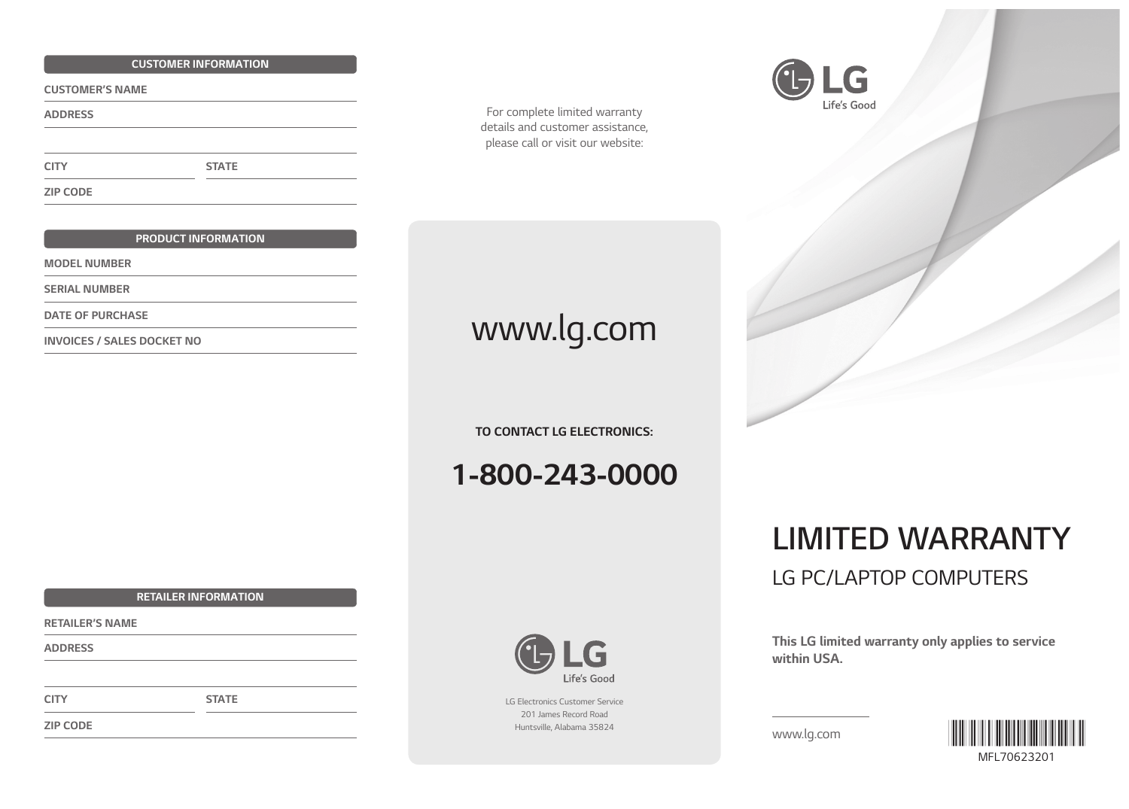#### *CUSTOMER INFORMATION*

*CUSTOMER'S NAME* 

*ADDRESS*

*CITY*

*ZIP CODE*

#### *PRODUCT INFORMATION*

*STATE*

*MODEL NUMBER*

*SERIAL NUMBER*

*DATE OF PURCHASE*

*For complete limited warranty details and customer assistance, please call or visit our website:*



# **INVOICES / SALES DOCKET NO** *WWW.lg.com*

*TO CONTACT LG ELECTRONICS:*

*1-800-243-0000*

### ÷ Life's Good

*LG Electronics Customer Service 201 James Record Road Huntsville, Alabama 35824*



## *LIMITED WARRANTY LG PC/LAPTOP COMPUTERS*

*This LG limited warranty only applies to service within USA.*

*www.lg.com*



*RETAILER INFORMATION*

*STATE*

*RETAILER'S NAME*

*ADDRESS*

*CITY*

*ZIP CODE*